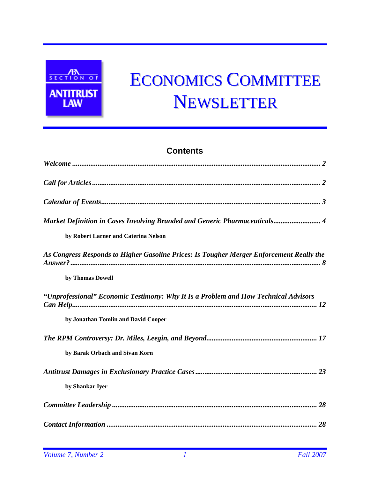

# ECONOMICS COMMITTEE NEWSLETTER

# **Contents**

| Market Definition in Cases Involving Branded and Generic Pharmaceuticals 4               |
|------------------------------------------------------------------------------------------|
| by Robert Larner and Caterina Nelson                                                     |
| As Congress Responds to Higher Gasoline Prices: Is Tougher Merger Enforcement Really the |
| by Thomas Dowell                                                                         |
| "Unprofessional" Economic Testimony: Why It Is a Problem and How Technical Advisors      |
| by Jonathan Tomlin and David Cooper                                                      |
|                                                                                          |
| by Barak Orbach and Sivan Korn                                                           |
|                                                                                          |
| by Shankar Iyer                                                                          |
|                                                                                          |
|                                                                                          |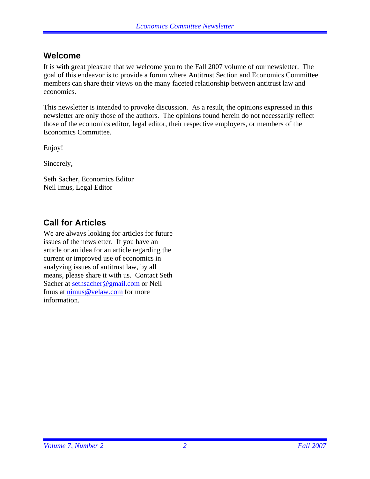## **Welcome**

It is with great pleasure that we welcome you to the Fall 2007 volume of our newsletter. The goal of this endeavor is to provide a forum where Antitrust Section and Economics Committee members can share their views on the many faceted relationship between antitrust law and economics.

This newsletter is intended to provoke discussion. As a result, the opinions expressed in this newsletter are only those of the authors. The opinions found herein do not necessarily reflect those of the economics editor, legal editor, their respective employers, or members of the Economics Committee.

Enjoy!

Sincerely,

Seth Sacher, Economics Editor Neil Imus, Legal Editor

# **Call for Articles**

We are always looking for articles for future issues of the newsletter. If you have an article or an idea for an article regarding the current or improved use of economics in analyzing issues of antitrust law, by all means, please share it with us. Contact Seth Sacher at sethsacher@gmail.com or Neil Imus at nimus@velaw.com for more information.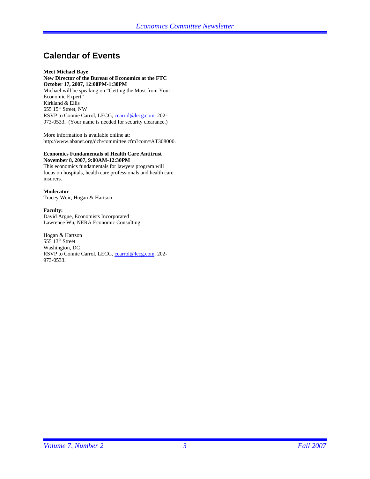# **Calendar of Events**

#### **Meet Michael Baye New Director of the Bureau of Economics at the FTC October 17, 2007, 12:00PM-1:30PM**

Michael will be speaking on "Getting the Most from Your Economic Expert" Kirkland & Ellis 655  $15<sup>th</sup>$  Street, NW RSVP to Connie Carrol, LECG, ccarrol@lecg.com, 202-973-0533. (Your name is needed for security clearance.)

More information is available online at: http://www.abanet.org/dch/committee.cfm?com=AT308000.

#### **Economics Fundamentals of Health Care Antitrust November 8, 2007, 9:00AM-12:30PM**

This economics fundamentals for lawyers program will focus on hospitals, health care professionals and health care insurers.

#### **Moderator**

Tracey Weir, Hogan & Hartson

#### **Faculty:**

David Argue, Economists Incorporated Lawrence Wu, NERA Economic Consulting

Hogan & Hartson  $55513<sup>th</sup>$  Street Washington, DC RSVP to Connie Carrol, LECG, ccarrol@lecg.com, 202-973-0533.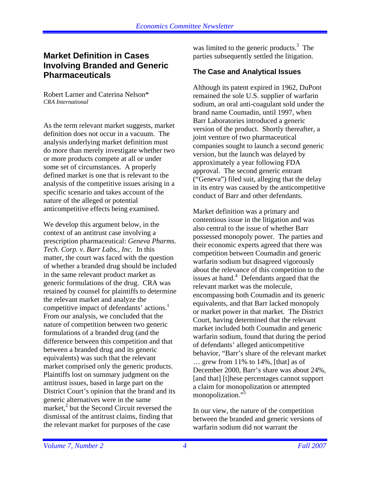## **Market Definition in Cases Involving Branded and Generic Pharmaceuticals**

Robert Larner and Caterina Nelson\* *CRA International* 

As the term relevant market suggests, market definition does not occur in a vacuum. The analysis underlying market definition must do more than merely investigate whether two or more products compete at all or under some set of circumstances. A properly defined market is one that is relevant to the analysis of the competitive issues arising in a specific scenario and takes account of the nature of the alleged or potential anticompetitive effects being examined.

We develop this argument below, in the context of an antitrust case involving a prescription pharmaceutical: *Geneva Pharms. Tech. Corp. v. Barr Labs., Inc.* In this matter, the court was faced with the question of whether a branded drug should be included in the same relevant product market as generic formulations of the drug. CRA was retained by counsel for plaintiffs to determine the relevant market and analyze the competitive impact of defendants' actions. $<sup>1</sup>$ </sup> From our analysis, we concluded that the nature of competition between two generic formulations of a branded drug (and the difference between this competition and that between a branded drug and its generic equivalents) was such that the relevant market comprised only the generic products. Plaintiffs lost on summary judgment on the antitrust issues, based in large part on the District Court's opinion that the brand and its generic alternatives were in the same  $\frac{1}{2}$  but the Second Circuit reversed the dismissal of the antitrust claims, finding that the relevant market for purposes of the case

was limited to the generic products.<sup>3</sup> The parties subsequently settled the litigation.

## **The Case and Analytical Issues**

Although its patent expired in 1962, DuPont remained the sole U.S. supplier of warfarin sodium, an oral anti-coagulant sold under the brand name Coumadin, until 1997, when Barr Laboratories introduced a generic version of the product. Shortly thereafter, a joint venture of two pharmaceutical companies sought to launch a second generic version, but the launch was delayed by approximately a year following FDA approval. The second generic entrant ("Geneva") filed suit, alleging that the delay in its entry was caused by the anticompetitive conduct of Barr and other defendants.

Market definition was a primary and contentious issue in the litigation and was also central to the issue of whether Barr possessed monopoly power. The parties and their economic experts agreed that there was competition between Coumadin and generic warfarin sodium but disagreed vigorously about the relevance of this competition to the issues at hand.<sup>4</sup> Defendants argued that the relevant market was the molecule, encompassing both Coumadin and its generic equivalents, and that Barr lacked monopoly or market power in that market. The District Court, having determined that the relevant market included both Coumadin and generic warfarin sodium, found that during the period of defendants' alleged anticompetitive behavior, "Barr's share of the relevant market … grew from 11% to 14%, [that] as of December 2000, Barr's share was about 24%, [and that] [t] hese percentages cannot support a claim for monopolization or attempted monopolization."<sup>5</sup>

In our view, the nature of the competition between the branded and generic versions of warfarin sodium did not warrant the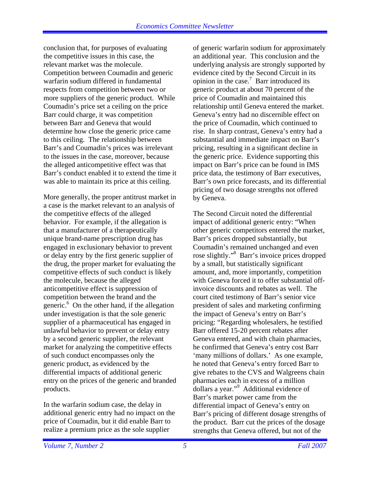conclusion that, for purposes of evaluating the competitive issues in this case, the relevant market was the molecule. Competition between Coumadin and generic warfarin sodium differed in fundamental respects from competition between two or more suppliers of the generic product. While Coumadin's price set a ceiling on the price Barr could charge, it was competition between Barr and Geneva that would determine how close the generic price came to this ceiling. The relationship between Barr's and Coumadin's prices was irrelevant to the issues in the case, moreover, because the alleged anticompetitive effect was that Barr's conduct enabled it to extend the time it was able to maintain its price at this ceiling.

More generally, the proper antitrust market in a case is the market relevant to an analysis of the competitive effects of the alleged behavior. For example, if the allegation is that a manufacturer of a therapeutically unique brand-name prescription drug has engaged in exclusionary behavior to prevent or delay entry by the first generic supplier of the drug, the proper market for evaluating the competitive effects of such conduct is likely the molecule, because the alleged anticompetitive effect is suppression of competition between the brand and the generic.<sup>6</sup> On the other hand, if the allegation under investigation is that the sole generic supplier of a pharmaceutical has engaged in unlawful behavior to prevent or delay entry by a second generic supplier, the relevant market for analyzing the competitive effects of such conduct encompasses only the generic product, as evidenced by the differential impacts of additional generic entry on the prices of the generic and branded products.

In the warfarin sodium case, the delay in additional generic entry had no impact on the price of Coumadin, but it did enable Barr to realize a premium price as the sole supplier

of generic warfarin sodium for approximately an additional year. This conclusion and the underlying analysis are strongly supported by evidence cited by the Second Circuit in its opinion in the case.<sup>7</sup> Barr introduced its generic product at about 70 percent of the price of Coumadin and maintained this relationship until Geneva entered the market. Geneva's entry had no discernible effect on the price of Coumadin, which continued to rise. In sharp contrast, Geneva's entry had a substantial and immediate impact on Barr's pricing, resulting in a significant decline in the generic price. Evidence supporting this impact on Barr's price can be found in IMS price data, the testimony of Barr executives, Barr's own price forecasts, and its differential pricing of two dosage strengths not offered by Geneva.

The Second Circuit noted the differential impact of additional generic entry: "When other generic competitors entered the market, Barr's prices dropped substantially, but Coumadin's remained unchanged and even rose slightly."<sup>8</sup> Barr's invoice prices dropped by a small, but statistically significant amount, and, more importantly, competition with Geneva forced it to offer substantial offinvoice discounts and rebates as well. The court cited testimony of Barr's senior vice president of sales and marketing confirming the impact of Geneva's entry on Barr's pricing: "Regarding wholesalers, he testified Barr offered 15-20 percent rebates after Geneva entered, and with chain pharmacies, he confirmed that Geneva's entry cost Barr 'many millions of dollars.' As one example, he noted that Geneva's entry forced Barr to give rebates to the CVS and Walgreens chain pharmacies each in excess of a million dollars a year."<sup>9</sup> Additional evidence of Barr's market power came from the differential impact of Geneva's entry on Barr's pricing of different dosage strengths of the product. Barr cut the prices of the dosage strengths that Geneva offered, but not of the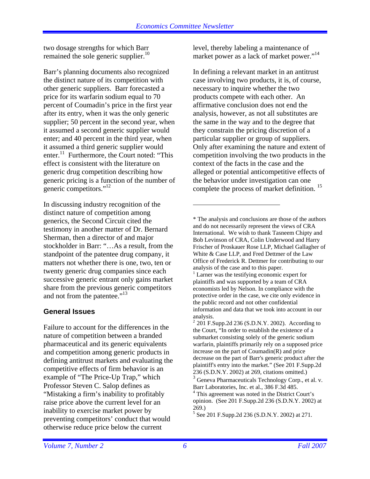two dosage strengths for which Barr remained the sole generic supplier. $10$ 

Barr's planning documents also recognized the distinct nature of its competition with other generic suppliers. Barr forecasted a price for its warfarin sodium equal to 70 percent of Coumadin's price in the first year after its entry, when it was the only generic supplier; 50 percent in the second year, when it assumed a second generic supplier would enter; and 40 percent in the third year, when it assumed a third generic supplier would enter.<sup>11</sup> Furthermore, the Court noted: "This effect is consistent with the literature on generic drug competition describing how generic pricing is a function of the number of generic competitors."12

In discussing industry recognition of the distinct nature of competition among generics, the Second Circuit cited the testimony in another matter of Dr. Bernard Sherman, then a director of and major stockholder in Barr: "…As a result, from the standpoint of the patentee drug company, it matters not whether there is one, two, ten or twenty generic drug companies since each successive generic entrant only gains market share from the previous generic competitors and not from the patentee."<sup>13</sup>

## **General Issues**

Failure to account for the differences in the nature of competition between a branded pharmaceutical and its generic equivalents and competition among generic products in defining antitrust markets and evaluating the competitive effects of firm behavior is an example of "The Price-Up Trap," which Professor Steven C. Salop defines as "Mistaking a firm's inability to profitably raise price above the current level for an inability to exercise market power by preventing competitors' conduct that would otherwise reduce price below the current

level, thereby labeling a maintenance of market power as a lack of market power."<sup>14</sup>

In defining a relevant market in an antitrust case involving two products, it is, of course, necessary to inquire whether the two products compete with each other. An affirmative conclusion does not end the analysis, however, as not all substitutes are the same in the way and to the degree that they constrain the pricing discretion of a particular supplier or group of suppliers. Only after examining the nature and extent of competition involving the two products in the context of the facts in the case and the alleged or potential anticompetitive effects of the behavior under investigation can one complete the process of market definition.<sup>15</sup>

\* The analysis and conclusions are those of the authors and do not necessarily represent the views of CRA International. We wish to thank Tasneem Chipty and Bob Levinson of CRA, Colin Underwood and Harry Frischer of Proskauer Rose LLP, Michael Gallagher of White & Case LLP, and Fred Dettmer of the Law Office of Frederick R. Dettmer for contributing to our analysis of the case and to this paper.

 $3$  Geneva Pharmaceuticals Technology Corp., et al. v. Barr Laboratories, Inc. et al., 386 F.3d 485.

<sup>&</sup>lt;sup>1</sup> Larner was the testifying economic expert for plaintiffs and was supported by a team of CRA economists led by Nelson. In compliance with the protective order in the case, we cite only evidence in the public record and not other confidential information and data that we took into account in our analysis.

 $^{2}$  201 F.Supp.2d 236 (S.D.N.Y. 2002). According to the Court, "In order to establish the existence of a submarket consisting solely of the generic sodium warfarin, plaintiffs primarily rely on a supposed price increase on the part of Coumadin(R) and price decrease on the part of Barr's generic product after the plaintiff's entry into the market." (See 201 F.Supp.2d 236 (S.D.N.Y. 2002) at 269, citations omitted.)

<sup>4</sup> This agreement was noted in the District Court's opinion. (See 201 F.Supp.2d 236 (S.D.N.Y. 2002) at 269.)

<sup>5</sup> See 201 F.Supp.2d 236 (S.D.N.Y. 2002) at 271.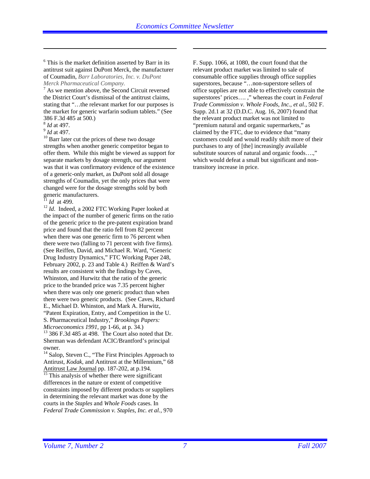<sup>6</sup> This is the market definition asserted by Barr in its antitrust suit against DuPont Merck, the manufacturer of Coumadin, *Barr Laboratories, Inc. v. DuPont Merck Pharmaceutical Company.*

 $7$  As we mention above, the Second Circuit reversed the District Court's dismissal of the antitrust claims, stating that "…the relevant market for our purposes is the market for generic warfarin sodium tablets." (See 386 F.3d 485 at 500.)

 $\overline{a}$ 

 $\frac{8}{10}$  *Id* at 497.<br> $\frac{9}{10}$  Barr later cut the prices of these two dosage strengths when another generic competitor began to offer them. While this might be viewed as support for separate markets by dosage strength, our argument was that it was confirmatory evidence of the existence of a generic-only market, as DuPont sold all dosage strengths of Coumadin, yet the only prices that were changed were for the dosage strengths sold by both generic manufacturers.<br> $\frac{11}{11}$  *Id* at 499.

<sup>12</sup> *Id*. Indeed, a 2002 FTC Working Paper looked at the impact of the number of generic firms on the ratio of the generic price to the pre-patent expiration brand price and found that the ratio fell from 82 percent when there was one generic firm to 76 percent when there were two (falling to 71 percent with five firms). (See Reiffen, David, and Michael R. Ward, "Generic Drug Industry Dynamics," FTC Working Paper 248, February 2002, p. 23 and Table 4.) Reiffen & Ward's results are consistent with the findings by Caves, Whinston, and Hurwitz that the ratio of the generic price to the branded price was 7.35 percent higher when there was only one generic product than when there were two generic products. (See Caves, Richard E., Michael D. Whinston, and Mark A. Hurwitz, "Patent Expiration, Entry, and Competition in the U. S. Pharmaceutical Industry," *Brookings Papers:* 

<sup>13</sup> 386 F.3d 485 at 498. The Court also noted that Dr. Sherman was defendant ACIC/Brantford's principal owner.

<sup>14</sup> Salop, Steven C., "The First Principles Approach to Antirust, *Kodak*, and Antitrust at the Millennium," 68<br>Antitrust Law Journal pp. 187-202, at p.194.

 $\frac{1}{15}$  This analysis of whether there were significant differences in the nature or extent of competitive constraints imposed by different products or suppliers in determining the relevant market was done by the courts in the *Staples* and *Whole Foods* cases. In *Federal Trade Commission v. Staples, Inc. et al.*, 970

F. Supp. 1066, at 1080, the court found that the relevant product market was limited to sale of consumable office supplies through office supplies superstores, because "...non-superstore sellers of office supplies are not able to effectively constrain the superstores' prices…. ," whereas the court in *Federal Trade Commission v. Whole Foods, Inc., et al.*, 502 F. Supp. 2d.1 at 32 (D.D.C. Aug. 16, 2007) found that the relevant product market was not limited to "premium natural and organic supermarkets," as claimed by the FTC, due to evidence that "many customers could and would readily shift more of their purchases to any of [the] increasingly available substitute sources of natural and organic foods....." which would defeat a small but significant and nontransitory increase in price.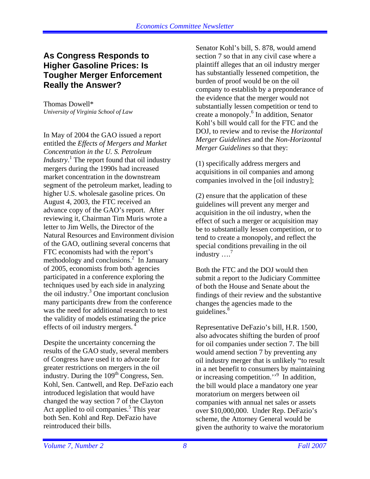## **As Congress Responds to Higher Gasoline Prices: Is Tougher Merger Enforcement Really the Answer?**

Thomas Dowell\* *University of Virginia School of Law* 

In May of 2004 the GAO issued a report entitled the *Effects of Mergers and Market Concentration in the U. S. Petroleum Industry*.<sup>1</sup> The report found that oil industry mergers during the 1990s had increased market concentration in the downstream segment of the petroleum market, leading to higher U.S. wholesale gasoline prices. On August 4, 2003, the FTC received an advance copy of the GAO's report. After reviewing it, Chairman Tim Muris wrote a letter to Jim Wells, the Director of the Natural Resources and Environment division of the GAO, outlining several concerns that FTC economists had with the report's methodology and conclusions.<sup>2</sup> In January of 2005, economists from both agencies participated in a conference exploring the techniques used by each side in analyzing the oil industry.3 One important conclusion many participants drew from the conference was the need for additional research to test the validity of models estimating the price effects of oil industry mergers. 4

Despite the uncertainty concerning the results of the GAO study, several members of Congress have used it to advocate for greater restrictions on mergers in the oil industry. During the  $109<sup>th</sup>$  Congress, Sen. Kohl, Sen. Cantwell, and Rep. DeFazio each introduced legislation that would have changed the way section 7 of the Clayton Act applied to oil companies.<sup>5</sup> This year both Sen. Kohl and Rep. DeFazio have reintroduced their bills.

Senator Kohl's bill, S. 878, would amend section 7 so that in any civil case where a plaintiff alleges that an oil industry merger has substantially lessened competition, the burden of proof would be on the oil company to establish by a preponderance of the evidence that the merger would not substantially lessen competition or tend to create a monopoly.<sup>6</sup> In addition, Senator Kohl's bill would call for the FTC and the DOJ, to review and to revise the *Horizontal Merger Guidelines* and the *Non-Horizontal Merger Guidelines* so that they:

(1) specifically address mergers and acquisitions in oil companies and among companies involved in the [oil industry];

(2) ensure that the application of these guidelines will prevent any merger and acquisition in the oil industry, when the effect of such a merger or acquisition may be to substantially lessen competition, or to tend to create a monopoly, and reflect the special conditions prevailing in the oil industry  $\dots$ <sup>7</sup>

Both the FTC and the DOJ would then submit a report to the Judiciary Committee of both the House and Senate about the findings of their review and the substantive changes the agencies made to the guidelines.<sup>8</sup>

Representative DeFazio's bill, H.R. 1500, also advocates shifting the burden of proof for oil companies under section 7. The bill would amend section 7 by preventing any oil industry merger that is unlikely "to result in a net benefit to consumers by maintaining or increasing competition."<sup>9</sup> In addition, the bill would place a mandatory one year moratorium on mergers between oil companies with annual net sales or assets over \$10,000,000. Under Rep. DeFazio's scheme, the Attorney General would be given the authority to waive the moratorium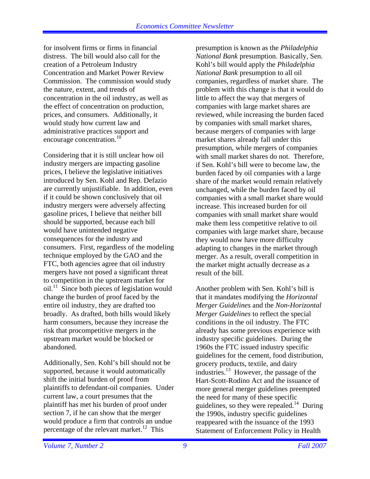for insolvent firms or firms in financial distress. The bill would also call for the creation of a Petroleum Industry Concentration and Market Power Review Commission. The commission would study the nature, extent, and trends of concentration in the oil industry, as well as the effect of concentration on production, prices, and consumers. Additionally, it would study how current law and administrative practices support and encourage concentration.<sup>10</sup>

Considering that it is still unclear how oil industry mergers are impacting gasoline prices, I believe the legislative initiatives introduced by Sen. Kohl and Rep. Defazio are currently unjustifiable. In addition, even if it could be shown conclusively that oil industry mergers were adversely affecting gasoline prices, I believe that neither bill should be supported, because each bill would have unintended negative consequences for the industry and consumers. First, regardless of the modeling technique employed by the GAO and the FTC, both agencies agree that oil industry mergers have not posed a significant threat to competition in the upstream market for oil. $^{11}$  Since both pieces of legislation would change the burden of proof faced by the entire oil industry, they are drafted too broadly. As drafted, both bills would likely harm consumers, because they increase the risk that procompetitive mergers in the upstream market would be blocked or abandoned.

Additionally, Sen. Kohl's bill should not be supported, because it would automatically shift the initial burden of proof from plaintiffs to defendant-oil companies. Under current law, a court presumes that the plaintiff has met his burden of proof under section 7, if he can show that the merger would produce a firm that controls an undue percentage of the relevant market.<sup>12</sup> This

presumption is known as the *Philadelphia National Bank* presumption. Basically, Sen. Kohl's bill would apply the *Philadelphia National Bank* presumption to all oil companies, regardless of market share. The problem with this change is that it would do little to affect the way that mergers of companies with large market shares are reviewed, while increasing the burden faced by companies with small market shares, because mergers of companies with large market shares already fall under this presumption, while mergers of companies with small market shares do not. Therefore, if Sen. Kohl's bill were to become law, the burden faced by oil companies with a large share of the market would remain relatively unchanged, while the burden faced by oil companies with a small market share would increase. This increased burden for oil companies with small market share would make them less competitive relative to oil companies with large market share, because they would now have more difficulty adapting to changes in the market through merger. As a result, overall competition in the market might actually decrease as a result of the bill.

Another problem with Sen. Kohl's bill is that it mandates modifying the *Horizontal Merger Guidelines* and the *Non-Horizontal Merger Guidelines* to reflect the special conditions in the oil industry. The FTC already has some previous experience with industry specific guidelines. During the 1960s the FTC issued industry specific guidelines for the cement, food distribution, grocery products, textile, and dairy industries.13 However, the passage of the Hart-Scott-Rodino Act and the issuance of more general merger guidelines preempted the need for many of these specific guidelines, so they were repealed.<sup>14</sup> During the 1990s, industry specific guidelines reappeared with the issuance of the 1993 Statement of Enforcement Policy in Health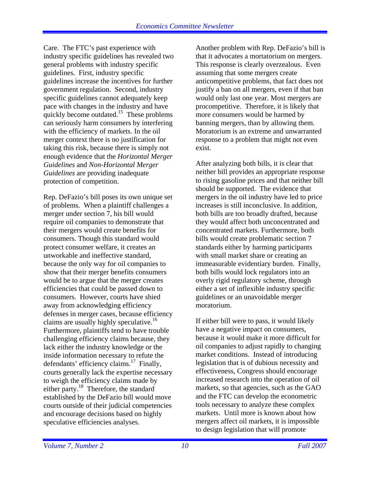Care. The FTC's past experience with industry specific guidelines has revealed two general problems with industry specific guidelines. First, industry specific guidelines increase the incentives for further government regulation. Second, industry specific guidelines cannot adequately keep pace with changes in the industry and have quickly become outdated.<sup>15</sup> These problems can seriously harm consumers by interfering with the efficiency of markets. In the oil merger context there is no justification for taking this risk, because there is simply not enough evidence that the *Horizontal Merger Guidelines* and *Non-Horizontal Merger Guidelines* are providing inadequate protection of competition.

Rep. DeFazio's bill poses its own unique set of problems. When a plaintiff challenges a merger under section 7, his bill would require oil companies to demonstrate that their mergers would create benefits for consumers. Though this standard would protect consumer welfare, it creates an unworkable and ineffective standard, because the only way for oil companies to show that their merger benefits consumers would be to argue that the merger creates efficiencies that could be passed down to consumers. However, courts have shied away from acknowledging efficiency defenses in merger cases, because efficiency claims are usually highly speculative.<sup>16</sup> Furthermore, plaintiffs tend to have trouble challenging efficiency claims because, they lack either the industry knowledge or the inside information necessary to refute the defendants' efficiency claims.<sup>17</sup> Finally, courts generally lack the expertise necessary to weigh the efficiency claims made by either party.<sup>18</sup> Therefore, the standard established by the DeFazio bill would move courts outside of their judicial competencies and encourage decisions based on highly speculative efficiencies analyses.

Another problem with Rep. DeFazio's bill is that it advocates a mortatorium on mergers. This response is clearly overzealous. Even assuming that some mergers create anticompetitive problems, that fact does not justify a ban on all mergers, even if that ban would only last one year. Most mergers are procompetitive. Therefore, it is likely that more consumers would be harmed by banning mergers, than by allowing them. Moratorium is an extreme and unwarranted response to a problem that might not even exist.

After analyzing both bills, it is clear that neither bill provides an appropriate response to rising gasoline prices and that neither bill should be supported. The evidence that mergers in the oil industry have led to price increases is still inconclusive. In addition, both bills are too broadly drafted, because they would affect both unconcentrated and concentrated markets. Furthermore, both bills would create problematic section 7 standards either by harming participants with small market share or creating an immeasurable evidentiary burden. Finally, both bills would lock regulators into an overly rigid regulatory scheme, through either a set of inflexible industry specific guidelines or an unavoidable merger moratorium.

If either bill were to pass, it would likely have a negative impact on consumers, because it would make it more difficult for oil companies to adjust rapidly to changing market conditions. Instead of introducing legislation that is of dubious necessity and effectiveness, Congress should encourage increased research into the operation of oil markets, so that agencies, such as the GAO and the FTC can develop the econometric tools necessary to analyze these complex markets. Until more is known about how mergers affect oil markets, it is impossible to design legislation that will promote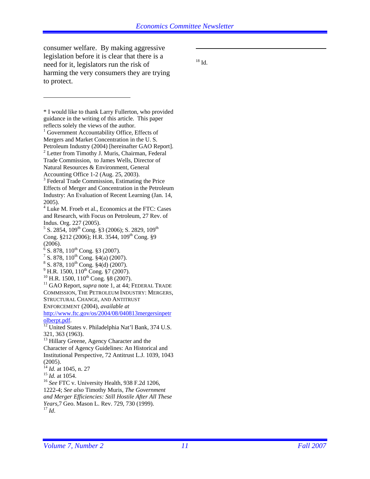consumer welfare. By making aggressive legislation before it is clear that there is a need for it, legislators run the risk of harming the very consumers they are trying to protect.

 $\overline{a}$ 

 $^{18}$  Id.

 $\overline{a}$ 

<sup>\*</sup> I would like to thank Larry Fullerton, who provided guidance in the writing of this article. This paper reflects solely the views of the author. <sup>1</sup> Government Accountability Office, Effects of Mergers and Market Concentration in the U. S. Petroleum Industry (2004) [hereinafter GAO Report]. <sup>2</sup> Letter from Timothy J. Muris, Chairman, Federal Trade Commission, to James Wells, Director of Natural Resources & Environment, General Accounting Office 1-2 (Aug. 25, 2003). <sup>3</sup> Federal Trade Commission, Estimating the Price Effects of Merger and Concentration in the Petroleum Industry: An Evaluation of Recent Learning (Jan. 14, 2005). <sup>4</sup> Luke M. Froeb et al., Economics at the FTC: Cases and Research, with Focus on Petroleum, 27 Rev. of Indus. Org. 227 (2005).  $5$  S. 2854, 109<sup>th</sup> Cong. §3 (2006); S. 2829, 109<sup>th</sup> Cong. §212 (2006); H.R. 3544, 109<sup>th</sup> Cong. §9 (2006).  $^{6}$  S. 878, 110<sup>th</sup> Cong. §3 (2007).<br><sup>7</sup> S. 878, 110<sup>th</sup> Cong. §4(e) (2000)  $\frac{7}{5}$  S. 878, 110<sup>th</sup> Cong. §4(a) (2007).  $S^8$  S. 878, 110<sup>th</sup> Cong. §4(d) (2007).<br><sup>9</sup> H.R. 1500, 110<sup>th</sup> Cong. §7 (2007). <sup>10</sup> H.R. 1500, 110<sup>th</sup> Cong. §8 (2007). <sup>11</sup> GAO Report, *supra* note 1, at 44; FEDERAL TRADE COMMISSION, THE PETROLEUM INDUSTRY: MERGERS, STRUCTURAL CHANGE, AND ANTITRUST ENFORCEMENT (2004), *available at*  http://www.ftc.gov/os/2004/08/040813mergersinpetr olberpt.pdf. 12 United States v. Philadelphia Nat'l Bank, 374 U.S. 321, 363 (1963). <sup>13</sup> Hillary Greene, Agency Character and the Character of Agency Guidelines: An Historical and Institutional Perspective, 72 Antitrust L.J. 1039, 1043 (2005).<br> $^{14}$  *Id.* at 1045, n. 27 <sup>15</sup> *Id.* at 1054.<br><sup>16</sup> *See* FTC v. University Health, 938 F.2d 1206, 1222-4; *See also* Timothy Muris, *The Government and Merger Efficiencies: Still Hostile After All These Years*,7 Geo. Mason L. Rev. 729, 730 (1999). 17 *Id*.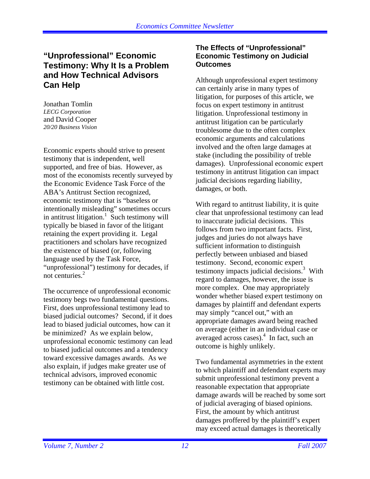## **"Unprofessional" Economic Testimony: Why It Is a Problem and How Technical Advisors Can Help**

Jonathan Tomlin *LECG Corporation*  and David Cooper *20/20 Business Vision* 

Economic experts should strive to present testimony that is independent, well supported, and free of bias. However, as most of the economists recently surveyed by the Economic Evidence Task Force of the ABA's Antitrust Section recognized, economic testimony that is "baseless or intentionally misleading" sometimes occurs in antitrust litigation.<sup>1</sup> Such testimony will typically be biased in favor of the litigant retaining the expert providing it. Legal practitioners and scholars have recognized the existence of biased (or, following language used by the Task Force, "unprofessional") testimony for decades, if not centuries. $2$ 

The occurrence of unprofessional economic testimony begs two fundamental questions. First, does unprofessional testimony lead to biased judicial outcomes? Second, if it does lead to biased judicial outcomes, how can it be minimized? As we explain below, unprofessional economic testimony can lead to biased judicial outcomes and a tendency toward excessive damages awards. As we also explain, if judges make greater use of technical advisors, improved economic testimony can be obtained with little cost.

#### **The Effects of "Unprofessional" Economic Testimony on Judicial Outcomes**

Although unprofessional expert testimony can certainly arise in many types of litigation, for purposes of this article, we focus on expert testimony in antitrust litigation. Unprofessional testimony in antitrust litigation can be particularly troublesome due to the often complex economic arguments and calculations involved and the often large damages at stake (including the possibility of treble damages). Unprofessional economic expert testimony in antitrust litigation can impact judicial decisions regarding liability, damages, or both.

With regard to antitrust liability, it is quite clear that unprofessional testimony can lead to inaccurate judicial decisions. This follows from two important facts. First, judges and juries do not always have sufficient information to distinguish perfectly between unbiased and biased testimony. Second, economic expert testimony impacts judicial decisions.<sup>3</sup> With regard to damages, however, the issue is more complex. One may appropriately wonder whether biased expert testimony on damages by plaintiff and defendant experts may simply "cancel out," with an appropriate damages award being reached on average (either in an individual case or averaged across cases). $4$  In fact, such an outcome is highly unlikely.

Two fundamental asymmetries in the extent to which plaintiff and defendant experts may submit unprofessional testimony prevent a reasonable expectation that appropriate damage awards will be reached by some sort of judicial averaging of biased opinions. First, the amount by which antitrust damages proffered by the plaintiff's expert may exceed actual damages is theoretically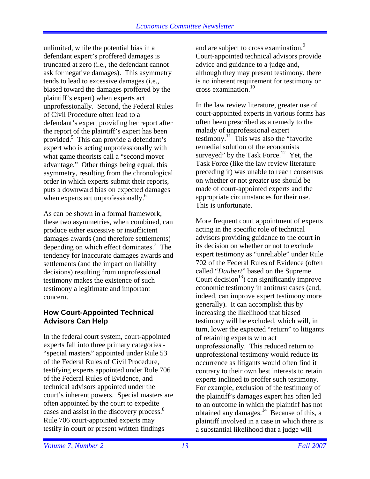unlimited, while the potential bias in a defendant expert's proffered damages is truncated at zero (i.e., the defendant cannot ask for negative damages). This asymmetry tends to lead to excessive damages (i.e., biased toward the damages proffered by the plaintiff's expert) when experts act unprofessionally. Second, the Federal Rules of Civil Procedure often lead to a defendant's expert providing her report after the report of the plaintiff's expert has been provided.<sup>5</sup> This can provide a defendant's expert who is acting unprofessionally with what game theorists call a "second mover advantage." Other things being equal, this asymmetry, resulting from the chronological order in which experts submit their reports, puts a downward bias on expected damages when experts act unprofessionally.<sup>6</sup>

As can be shown in a formal framework, these two asymmetries, when combined, can produce either excessive or insufficient damages awards (and therefore settlements) depending on which effect dominates.<sup>7</sup> The tendency for inaccurate damages awards and settlements (and the impact on liability decisions) resulting from unprofessional testimony makes the existence of such testimony a legitimate and important concern.

#### **How Court-Appointed Technical Advisors Can Help**

In the federal court system, court-appointed experts fall into three primary categories - "special masters" appointed under Rule 53 of the Federal Rules of Civil Procedure, testifying experts appointed under Rule 706 of the Federal Rules of Evidence, and technical advisors appointed under the court's inherent powers. Special masters are often appointed by the court to expedite cases and assist in the discovery process.<sup>8</sup> Rule 706 court-appointed experts may testify in court or present written findings

and are subject to cross examination.<sup>9</sup> Court-appointed technical advisors provide advice and guidance to a judge and, although they may present testimony, there is no inherent requirement for testimony or cross examination.10

In the law review literature, greater use of court-appointed experts in various forms has often been prescribed as a remedy to the malady of unprofessional expert testimony. $11$  This was also the "favorite" remedial solution of the economists surveyed" by the Task Force.<sup>12</sup> Yet, the Task Force (like the law review literature preceding it) was unable to reach consensus on whether or not greater use should be made of court-appointed experts and the appropriate circumstances for their use. This is unfortunate.

More frequent court appointment of experts acting in the specific role of technical advisors providing guidance to the court in its decision on whether or not to exclude expert testimony as "unreliable" under Rule 702 of the Federal Rules of Evidence (often called "*Daubert*" based on the Supreme Court decision<sup>13</sup>) can significantly improve economic testimony in antitrust cases (and, indeed, can improve expert testimony more generally). It can accomplish this by increasing the likelihood that biased testimony will be excluded, which will, in turn, lower the expected "return" to litigants of retaining experts who act unprofessionally. This reduced return to unprofessional testimony would reduce its occurrence as litigants would often find it contrary to their own best interests to retain experts inclined to proffer such testimony. For example, exclusion of the testimony of the plaintiff's damages expert has often led to an outcome in which the plaintiff has not obtained any damages. $14$  Because of this, a plaintiff involved in a case in which there is a substantial likelihood that a judge will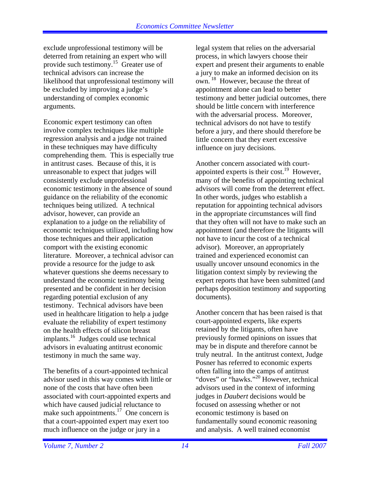exclude unprofessional testimony will be deterred from retaining an expert who will provide such testimony.15 Greater use of technical advisors can increase the likelihood that unprofessional testimony will be excluded by improving a judge's understanding of complex economic arguments.

Economic expert testimony can often involve complex techniques like multiple regression analysis and a judge not trained in these techniques may have difficulty comprehending them. This is especially true in antitrust cases. Because of this, it is unreasonable to expect that judges will consistently exclude unprofessional economic testimony in the absence of sound guidance on the reliability of the economic techniques being utilized. A technical advisor, however, can provide an explanation to a judge on the reliability of economic techniques utilized, including how those techniques and their application comport with the existing economic literature. Moreover, a technical advisor can provide a resource for the judge to ask whatever questions she deems necessary to understand the economic testimony being presented and be confident in her decision regarding potential exclusion of any testimony. Technical advisors have been used in healthcare litigation to help a judge evaluate the reliability of expert testimony on the health effects of silicon breast implants.16 Judges could use technical advisors in evaluating antitrust economic testimony in much the same way.

The benefits of a court-appointed technical advisor used in this way comes with little or none of the costs that have often been associated with court-appointed experts and which have caused judicial reluctance to make such appointments.<sup>17</sup> One concern is that a court-appointed expert may exert too much influence on the judge or jury in a

legal system that relies on the adversarial process, in which lawyers choose their expert and present their arguments to enable a jury to make an informed decision on its own. <sup>18</sup> However, because the threat of appointment alone can lead to better testimony and better judicial outcomes, there should be little concern with interference with the adversarial process. Moreover, technical advisors do not have to testify before a jury, and there should therefore be little concern that they exert excessive influence on jury decisions.

Another concern associated with courtappointed experts is their cost.<sup>19</sup> However, many of the benefits of appointing technical advisors will come from the deterrent effect. In other words, judges who establish a reputation for appointing technical advisors in the appropriate circumstances will find that they often will not have to make such an appointment (and therefore the litigants will not have to incur the cost of a technical advisor). Moreover, an appropriately trained and experienced economist can usually uncover unsound economics in the litigation context simply by reviewing the expert reports that have been submitted (and perhaps deposition testimony and supporting documents).

Another concern that has been raised is that court-appointed experts, like experts retained by the litigants, often have previously formed opinions on issues that may be in dispute and therefore cannot be truly neutral. In the antitrust context, Judge Posner has referred to economic experts often falling into the camps of antitrust "doves" or "hawks."<sup>20</sup> However, technical advisors used in the context of informing judges in *Daubert* decisions would be focused on assessing whether or not economic testimony is based on fundamentally sound economic reasoning and analysis. A well trained economist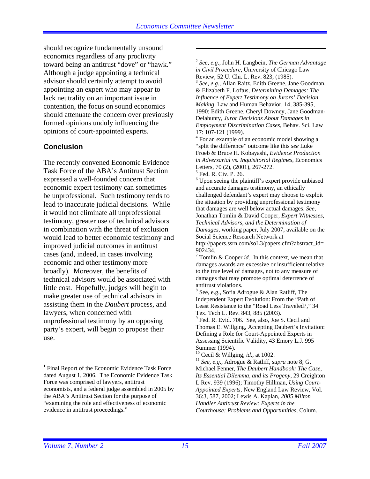should recognize fundamentally unsound economics regardless of any proclivity toward being an antitrust "dove" or "hawk." Although a judge appointing a technical advisor should certainly attempt to avoid appointing an expert who may appear to lack neutrality on an important issue in contention, the focus on sound economics should attenuate the concern over previously formed opinions unduly influencing the opinions of court-appointed experts.

#### **Conclusion**

The recently convened Economic Evidence Task Force of the ABA's Antitrust Section expressed a well-founded concern that economic expert testimony can sometimes be unprofessional. Such testimony tends to lead to inaccurate judicial decisions. While it would not eliminate all unprofessional testimony, greater use of technical advisors in combination with the threat of exclusion would lead to better economic testimony and improved judicial outcomes in antitrust cases (and, indeed, in cases involving economic and other testimony more broadly). Moreover, the benefits of technical advisors would be associated with little cost. Hopefully, judges will begin to make greater use of technical advisors in assisting them in the *Daubert* process, and lawyers, when concerned with unprofessional testimony by an opposing party's expert, will begin to propose their use.

<sup>2</sup> *See, e.g*., John H. Langbein, *The German Advantage in Civil Procedure*, University of Chicago Law Review, 52 U. Chi. L. Rev. 823, (1985).

<sup>3</sup> *See, e.g.,* Allan Raitz, Edith Greene, Jane Goodman, & Elizabeth F. Loftus, *Determining Damages: The Influence of Expert Testimony on Jurors' Decision Making*, Law and Human Behavior, 14, 385-395, 1990; Edith Greene, Cheryl Downey, Jane Goodman-Delahunty, *Juror Decisions About Damages in Employment Discrimination Cases*, Behav. Sci. Law 17: 107-121 (1999).

<sup>4</sup> For an example of an economic model showing a "split the difference" outcome like this *see* Luke Froeb & Bruce H. Kobayashi, *Evidence Production in Adversarial vs. Inquisitorial Regimes,* Economics Letters, 70 (2), (2001), 267-272. 5 Fed. R. Civ. P. 26.

<sup>6</sup> Upon seeing the plaintiff's expert provide unbiased and accurate damages testimony, an ethically challenged defendant's expert may choose to exploit the situation by providing unprofessional testimony that damages are well below actual damages. *See*, Jonathan Tomlin & David Cooper, *Expert Witnesses, Technical Advisors, and the Determination of Damages*, working paper, July 2007, available on the Social Science Research Network at

http://papers.ssrn.com/soL3/papers.cfm?abstract\_id= 902434.

 $7$  Tomlin & Cooper *id*. In this context, we mean that damages awards are excessive or insufficient relative to the true level of damages, not to any measure of damages that may promote optimal deterrence of antitrust violations.

<sup>9</sup> Fed. R. Evid. 706. See, also, Joe S. Cecil and Thomas E. Willging, Accepting Daubert's Invitation: Defining a Role for Court-Appointed Experts in Assessing Scientific Validity, 43 Emory L.J. 995 Summer (1994).<br><sup>10</sup> Cecil & Willging, *id.*, at 1002.

 $\overline{a}$ 

<sup>&</sup>lt;sup>1</sup> Final Report of the Economic Evidence Task Force dated August 1, 2006. The Economic Evidence Task Force was comprised of lawyers, antitrust economists, and a federal judge assembled in 2005 by the ABA's Antitrust Section for the purpose of "examining the role and effectiveness of economic evidence in antitrust proceedings."

<sup>&</sup>lt;sup>8</sup> See, e.g., Sofia Adrogue & Alan Ratliff, The Independent Expert Evolution: From the "Path of Least Resistance to the "Road Less Traveled?," 34 Tex. Tech L. Rev. 843, 885 (2003).

<sup>&</sup>lt;sup>11</sup> See, e.g., Adrogue & Ratliff, *supra* note 8; G. Michael Fenner, *The Daubert Handbook: The Case, Its Essential Dilemma, and its Progeny*, 29 Creighton L Rev. 939 (1996); Timothy Hillman, *Using Court-Appointed Experts*, New England Law Review, Vol. 36:3, 587, 2002; Lewis A. Kaplan, *2005 Milton Handler Antitrust Review: Experts in the Courthouse: Problems and Opportunities*, Colum.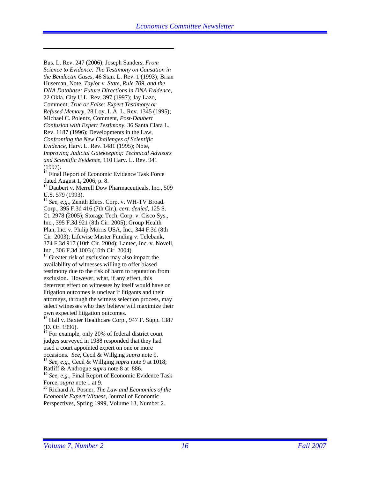Bus. L. Rev. 247 (2006); Joseph Sanders, *From Science to Evidence: The Testimony on Causation in the Bendectin Cases*, 46 Stan. L. Rev. 1 (1993); Brian Huseman, Note, *Taylor v. State, Rule 709, and the DNA Database: Future Directions in DNA Evidence*, 22 Okla. City U.L. Rev. 397 (1997); Jay Lazo, Comment, *True or False: Expert Testimony or Refused Memory*, 28 Loy. L.A. L. Rev. 1345 (1995); Michael C. Polentz, Comment, *Post-Daubert Confusion with Expert Testimony*, 36 Santa Clara L. Rev. 1187 (1996); Developments in the Law, *Confronting the New Challenges of Scientific Evidence*, Harv. L. Rev. 1481 (1995); Note, *Improving Judicial Gatekeeping: Technical Advisors and Scientific Evidence,* 110 Harv. L. Rev. 941 (1997).

 $\overline{a}$ 

<sup>12</sup> Final Report of Economic Evidence Task Force dated August 1, 2006, p. 8.

<sup>13</sup> Daubert v. Merrell Dow Pharmaceuticals, Inc., 509 U.S. 579 (1993).

<sup>14</sup> *See, e.g.*, Zenith Elecs. Corp. v. WH-TV Broad. Corp., 395 F.3d 416 (7th Cir.), *cert. denied*, 125 S. Ct. 2978 (2005); Storage Tech. Corp. v. Cisco Sys., Inc., 395 F.3d 921 (8th Cir. 2005); Group Health Plan, Inc. v. Philip Morris USA, Inc., 344 F.3d (8th Cir. 2003); Lifewise Master Funding v. Telebank, 374 F.3d 917 (10th Cir. 2004); Lantec, Inc. v. Novell, Inc., 306 F.3d 1003 (10th Cir. 2004).

<sup>15</sup> Greater risk of exclusion may also impact the availability of witnesses willing to offer biased testimony due to the risk of harm to reputation from exclusion. However, what, if any effect, this deterrent effect on witnesses by itself would have on litigation outcomes is unclear if litigants and their attorneys, through the witness selection process, may select witnesses who they believe will maximize their own expected litigation outcomes.

<sup>16</sup> Hall v. Baxter Healthcare Corp., 947 F. Supp. 1387 (D. Or. 1996).

 $17$  For example, only 20% of federal district court judges surveyed in 1988 responded that they had used a court appointed expert on one or more occasions. *See*, Cecil & Willging *supra* note 9. 18 *See, e.g*., Cecil & Willging *supra* note 9 at 1018; Ratliff & Androgue *supra* note 8 at 886.

<sup>19</sup> *See, e.g.,* Final Report of Economic Evidence Task Force, *supra* note 1 at 9.

<sup>20</sup> Richard A. Posner, *The Law and Economics of the Economic Expert Witness*, Journal of Economic Perspectives, Spring 1999, Volume 13, Number 2.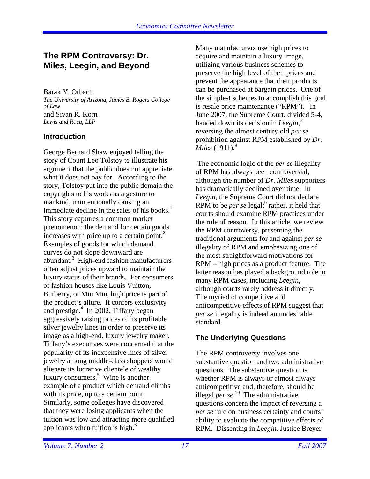## **The RPM Controversy: Dr. Miles, Leegin, and Beyond**

Barak Y. Orbach *The University of Arizona, James E. Rogers College of Law*  and Sivan R. Korn *Lewis and Roca, LLP*

#### **Introduction**

George Bernard Shaw enjoyed telling the story of Count Leo Tolstoy to illustrate his argument that the public does not appreciate what it does not pay for. According to the story, Tolstoy put into the public domain the copyrights to his works as a gesture to mankind, unintentionally causing an immediate decline in the sales of his books. $<sup>1</sup>$ </sup> This story captures a common market phenomenon: the demand for certain goods increases with price up to a certain point. $^{2}$ Examples of goods for which demand curves do not slope downward are abundant.<sup>3</sup> High-end fashion manufacturers often adjust prices upward to maintain the luxury status of their brands. For consumers of fashion houses like Louis Vuitton, Burberry, or Miu Miu, high price is part of the product's allure. It confers exclusivity and prestige.<sup>4</sup> In 2002, Tiffany began aggressively raising prices of its profitable silver jewelry lines in order to preserve its image as a high-end, luxury jewelry maker. Tiffany's executives were concerned that the popularity of its inexpensive lines of silver jewelry among middle-class shoppers would alienate its lucrative clientele of wealthy luxury consumers.<sup>5</sup> Wine is another example of a product which demand climbs with its price, up to a certain point. Similarly, some colleges have discovered that they were losing applicants when the tuition was low and attracting more qualified applicants when tuition is high. $^6$ 

Many manufacturers use high prices to acquire and maintain a luxury image, utilizing various business schemes to preserve the high level of their prices and prevent the appearance that their products can be purchased at bargain prices. One of the simplest schemes to accomplish this goal is resale price maintenance ("RPM"). In June 2007, the Supreme Court, divided 5-4, handed down its decision in *Leegin*, 7 reversing the almost century old *per se* prohibition against RPM established by *Dr. Miles* (1911).<sup>8</sup>

 The economic logic of the *per se* illegality of RPM has always been controversial, although the number of *Dr. Miles* supporters has dramatically declined over time. In *Leegin*, the Supreme Court did not declare RPM to be *per se* legal;<sup>9</sup> rather, it held that courts should examine RPM practices under the rule of reason. In this article, we review the RPM controversy, presenting the traditional arguments for and against *per se* illegality of RPM and emphasizing one of the most straightforward motivations for RPM – high prices as a product feature. The latter reason has played a background role in many RPM cases, including *Leegin*, although courts rarely address it directly. The myriad of competitive and anticompetitive effects of RPM suggest that *per se* illegality is indeed an undesirable standard.

## **The Underlying Questions**

The RPM controversy involves one substantive question and two administrative questions. The substantive question is whether RPM is always or almost always anticompetitive and, therefore, should be illegal *per se*. 10 The administrative questions concern the impact of reversing a *per se* rule on business certainty and courts' ability to evaluate the competitive effects of RPM. Dissenting in *Leegin*, Justice Breyer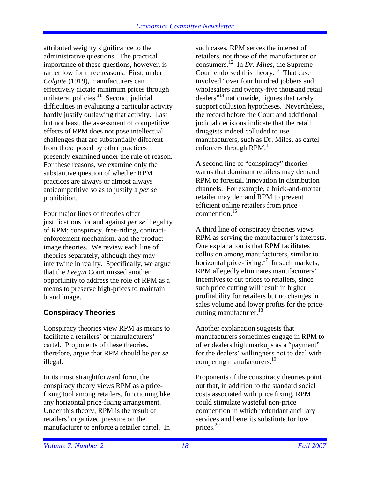attributed weighty significance to the administrative questions. The practical importance of these questions, however, is rather low for three reasons. First, under *Colgate* (1919), manufacturers can effectively dictate minimum prices through unilateral policies. $11$  Second, judicial difficulties in evaluating a particular activity hardly justify outlawing that activity. Last but not least, the assessment of competitive effects of RPM does not pose intellectual challenges that are substantially different from those posed by other practices presently examined under the rule of reason. For these reasons, we examine only the substantive question of whether RPM practices are always or almost always anticompetitive so as to justify a *per se* prohibition.

Four major lines of theories offer justifications for and against *per se* illegality of RPM: conspiracy, free-riding, contractenforcement mechanism, and the productimage theories. We review each line of theories separately, although they may intertwine in reality. Specifically, we argue that the *Leegin* Court missed another opportunity to address the role of RPM as a means to preserve high-prices to maintain brand image.

## **Conspiracy Theories**

Conspiracy theories view RPM as means to facilitate a retailers' or manufacturers' cartel. Proponents of these theories, therefore, argue that RPM should be *per se* illegal.

In its most straightforward form, the conspiracy theory views RPM as a pricefixing tool among retailers, functioning like any horizontal price-fixing arrangement. Under this theory, RPM is the result of retailers' organized pressure on the manufacturer to enforce a retailer cartel. In

such cases, RPM serves the interest of retailers, not those of the manufacturer or consumers. 12 In *Dr. Miles*, the Supreme Court endorsed this theory.<sup>13</sup> That case involved "over four hundred jobbers and wholesalers and twenty-five thousand retail dealers"14 nationwide, figures that rarely support collusion hypotheses. Nevertheless, the record before the Court and additional judicial decisions indicate that the retail druggists indeed colluded to use manufacturers, such as Dr. Miles, as cartel enforcers through RPM.<sup>15</sup>

A second line of "conspiracy" theories warns that dominant retailers may demand RPM to forestall innovation in distribution channels. For example, a brick-and-mortar retailer may demand RPM to prevent efficient online retailers from price competition.16

A third line of conspiracy theories views RPM as serving the manufacturer's interests. One explanation is that RPM facilitates collusion among manufacturers, similar to horizontal price-fixing.<sup>17</sup> In such markets, RPM allegedly eliminates manufacturers' incentives to cut prices to retailers, since such price cutting will result in higher profitability for retailers but no changes in sales volume and lower profits for the pricecutting manufacturer.<sup>18</sup>

Another explanation suggests that manufacturers sometimes engage in RPM to offer dealers high markups as a "payment" for the dealers' willingness not to deal with competing manufacturers.<sup>19</sup>

Proponents of the conspiracy theories point out that, in addition to the standard social costs associated with price fixing, RPM could stimulate wasteful non-price competition in which redundant ancillary services and benefits substitute for low prices.<sup>20</sup>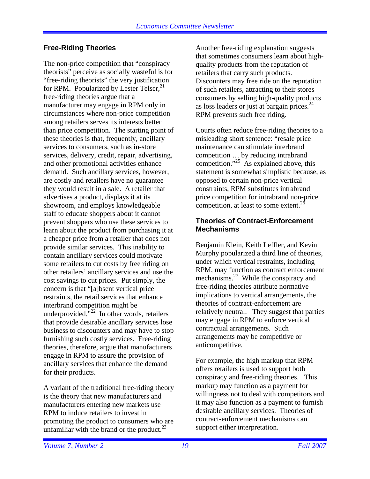#### **Free-Riding Theories**

The non-price competition that "conspiracy theorists" perceive as socially wasteful is for "free-riding theorists" the very justification for RPM. Popularized by Lester Telser, $^{21}$ free-riding theories argue that a manufacturer may engage in RPM only in circumstances where non-price competition among retailers serves its interests better than price competition. The starting point of these theories is that, frequently, ancillary services to consumers, such as in-store services, delivery, credit, repair, advertising, and other promotional activities enhance demand. Such ancillary services, however, are costly and retailers have no guarantee they would result in a sale. A retailer that advertises a product, displays it at its showroom, and employs knowledgeable staff to educate shoppers about it cannot prevent shoppers who use these services to learn about the product from purchasing it at a cheaper price from a retailer that does not provide similar services. This inability to contain ancillary services could motivate some retailers to cut costs by free riding on other retailers' ancillary services and use the cost savings to cut prices. Put simply, the concern is that "[a]bsent vertical price restraints, the retail services that enhance interbrand competition might be underprovided." $^{22}$  In other words, retailers that provide desirable ancillary services lose business to discounters and may have to stop furnishing such costly services. Free-riding theories, therefore, argue that manufacturers engage in RPM to assure the provision of ancillary services that enhance the demand for their products.

A variant of the traditional free-riding theory is the theory that new manufacturers and manufacturers entering new markets use RPM to induce retailers to invest in promoting the product to consumers who are unfamiliar with the brand or the product. $^{23}$ 

Another free-riding explanation suggests that sometimes consumers learn about highquality products from the reputation of retailers that carry such products. Discounters may free ride on the reputation of such retailers, attracting to their stores consumers by selling high-quality products as loss leaders or just at bargain prices. $^{24}$ RPM prevents such free riding.

Courts often reduce free-riding theories to a misleading short sentence: "resale price maintenance can stimulate interbrand competition … by reducing intrabrand competition."<sup>25</sup> As explained above, this statement is somewhat simplistic because, as opposed to certain non-price vertical constraints, RPM substitutes intrabrand price competition for intrabrand non-price competition, at least to some extent.<sup>26</sup>

#### **Theories of Contract-Enforcement Mechanisms**

Benjamin Klein, Keith Leffler, and Kevin Murphy popularized a third line of theories, under which vertical restraints, including RPM, may function as contract enforcement mechanisms.<sup>27</sup> While the conspiracy and free-riding theories attribute normative implications to vertical arrangements, the theories of contract-enforcement are relatively neutral. They suggest that parties may engage in RPM to enforce vertical contractual arrangements. Such arrangements may be competitive or anticompetitive.

For example, the high markup that RPM offers retailers is used to support both conspiracy and free-riding theories. This markup may function as a payment for willingness not to deal with competitors and it may also function as a payment to furnish desirable ancillary services. Theories of contract-enforcement mechanisms can support either interpretation.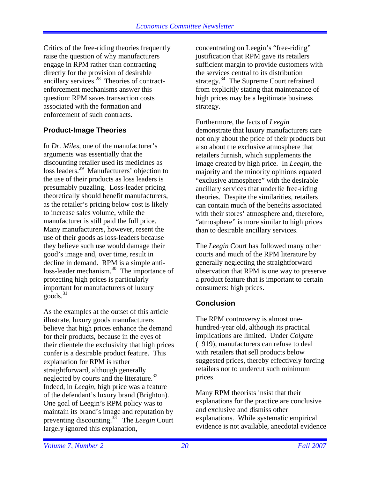Critics of the free-riding theories frequently raise the question of why manufacturers engage in RPM rather than contracting directly for the provision of desirable ancillary services.28 Theories of contractenforcement mechanisms answer this question: RPM saves transaction costs associated with the formation and enforcement of such contracts.

## **Product-Image Theories**

In *Dr. Miles*, one of the manufacturer's arguments was essentially that the discounting retailer used its medicines as loss leaders.29 Manufacturers' objection to the use of their products as loss leaders is presumably puzzling. Loss-leader pricing theoretically should benefit manufacturers, as the retailer's pricing below cost is likely to increase sales volume, while the manufacturer is still paid the full price. Many manufacturers, however, resent the use of their goods as loss-leaders because they believe such use would damage their good's image and, over time, result in decline in demand. RPM is a simple antiloss-leader mechanism.<sup>30</sup> The importance of protecting high prices is particularly important for manufacturers of luxury  $goods.<sup>31</sup>$ 

As the examples at the outset of this article illustrate, luxury goods manufacturers believe that high prices enhance the demand for their products, because in the eyes of their clientele the exclusivity that high prices confer is a desirable product feature. This explanation for RPM is rather straightforward, although generally neglected by courts and the literature.32 Indeed, in *Leegin,* high price was a feature of the defendant's luxury brand (Brighton). One goal of Leegin's RPM policy was to maintain its brand's image and reputation by preventing discounting.33 The *Leegin* Court largely ignored this explanation,

concentrating on Leegin's "free-riding" justification that RPM gave its retailers sufficient margin to provide customers with the services central to its distribution strategy.<sup>34</sup> The Supreme Court refrained from explicitly stating that maintenance of high prices may be a legitimate business strategy.

Furthermore, the facts of *Leegin* demonstrate that luxury manufacturers care not only about the price of their products but also about the exclusive atmosphere that retailers furnish, which supplements the image created by high price. In *Leegin*, the majority and the minority opinions equated "exclusive atmosphere" with the desirable ancillary services that underlie free-riding theories. Despite the similarities, retailers can contain much of the benefits associated with their stores' atmosphere and, therefore, "atmosphere" is more similar to high prices than to desirable ancillary services.

The *Leegin* Court has followed many other courts and much of the RPM literature by generally neglecting the straightforward observation that RPM is one way to preserve a product feature that is important to certain consumers: high prices.

## **Conclusion**

The RPM controversy is almost onehundred-year old, although its practical implications are limited. Under *Colgate*  (1919), manufacturers can refuse to deal with retailers that sell products below suggested prices, thereby effectively forcing retailers not to undercut such minimum prices.

Many RPM theorists insist that their explanations for the practice are conclusive and exclusive and dismiss other explanations. While systematic empirical evidence is not available, anecdotal evidence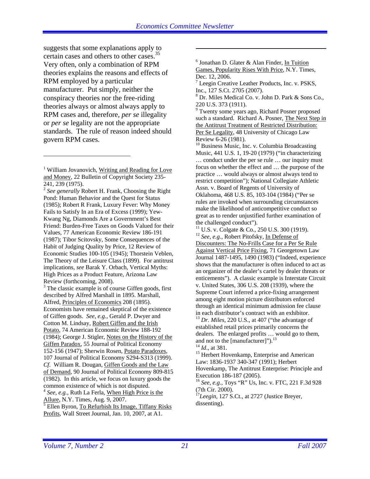suggests that some explanations apply to certain cases and others to other cases.<sup>35</sup> Very often, only a combination of RPM theories explains the reasons and effects of RPM employed by a particular manufacturer. Put simply, neither the conspiracy theories nor the free-riding theories always or almost always apply to RPM cases and, therefore, *per se* illegality or *per se* legality are not the appropriate standards. The rule of reason indeed should govern RPM cases.

1

<sup>3</sup> The classic example is of course Giffen goods, first described by Alfred Marshall in 1895. Marshall, Alfred, Principles of Economics 208 (1895). Economists have remained skeptical of the existence of Giffen goods. *See*, *e.g.*, Gerald P. Dwyer and Cotton M. Lindsay, Robert Giffen and the Irish Potato, 74 American Economic Review 188-192 (1984); George J. Stigler, Notes on the History of the Giffen Paradox, 55 Journal of Political Economy 152-156 (1947); Sherwin Rosen, Potato Paradoxes, 107 Journal of Political Economy S294-S313 (1999). *Cf*. William R. Dougan, Giffen Goods and the Law of Demand, 90 Journal of Political Economy 809-815 (1982). In this article, we focus on luxury goods the common existence of which is not disputed. <sup>4</sup> *See*, *e.g.*, Ruth La Ferla, When High Price is the Allure, N.Y. Times, Aug. 9, 2007. 5

 $\overline{\text{E}}$  Ellen Byron, To Refurbish Its Image, Tiffany Risks Profits, Wall Street Journal, Jan. 10, 2007, at A1.

<sup>6</sup> Jonathan D. Glater & Alan Finder, In Tuition Games, Popularity Rises With Price, N.Y. Times, Dec. 12, 2006.

<sup>7</sup> Leegin Creative Leather Products, Inc. v. PSKS, Inc., 127 S.Ct. 2705 (2007).

8 Dr. Miles Medical Co. v. John D. Park & Sons Co., 220 U.S. 373 (1911).

<sup>9</sup> Twenty some years ago, Richard Posner proposed such a standard. Richard A. Posner, The Next Step in the Antitrust Treatment of Restricted Distribution: Per Se Legality, 48 University of Chicago Law Review 6-26 (1981).

<sup>10</sup> Business Music, Inc. v. Columbia Broadcasting Music, 441 U.S. 1, 19-20 (1979) ("in characterizing … conduct under the per se rule … our inquiry must focus on whether the effect and … the purpose of the practice … would always or almost always tend to restrict competition"); National Collegiate Athletic Assn. v. Board of Regents of University of Oklahoma, 468 U.S. 85, 103-104 (1984) ("Per se rules are invoked when surrounding circumstances make the likelihood of anticompetitive conduct so great as to render unjustified further examination of the challenged conduct").

Discounters: The No-Frills Case for a Per Se Rule Against Vertical Price Fixing, 71 Georgetown Law Journal 1487-1495, 1490 (1983) ("Indeed, experience shows that the manufacturer is often induced to act as an organizer of the dealer's cartel by dealer threats or enticements"). A classic example is Interstate Circuit v. United States, 306 U.S. 208 (1939), where the Supreme Court inferred a price-fixing arrangement among eight motion picture distributors enforced through an identical minimum admission fee clause in each distributor's contract with an exhibitor. <sup>13</sup> *Dr. Miles*, 220 U.S., at 407 ("the advantage of established retail prices primarily concerns the

dealers. The enlarged profits … would go to them, and not to the [manufacturer]").<sup>13</sup><br><sup>14</sup> *Id.*, at 381.

<sup>15</sup> Herbert Hovenkamp, Enterprise and American Law: 1836-1937 340-347 (1991); Herbert Hovenkamp, The Antitrust Enterprise: Principle and Execution 186-187 (2005).

<sup>16</sup> *See*, *e.g.*, Toys "R" Us, Inc. v. FTC, 221 F.3d 928 (7th Cir. 2000).

<sup>17</sup>Leegin, 127 S.Ct., at 2727 (Justice Breyer, dissenting).

<sup>&</sup>lt;sup>1</sup> William Jovanovich, Writing and Reading for Love and Money, 22 Bulletin of Copyright Society 235- 241, 239 (1975).

<sup>2</sup> *See generally* Robert H. Frank, Choosing the Right Pond: Human Behavior and the Quest for Status (1985); Robert R Frank, Luxury Fever: Why Money Fails to Satisfy In an Era of Excess (1999); Yew-Kwang Ng, Diamonds Are a Government's Best Friend: Burden-Free Taxes on Goods Valued for their Values, 77 American Economic Review 186-191 (1987); Tibor Scitovsky, Some Consequences of the Habit of Judging Quality by Price, 12 Review of Economic Studies 100-105 (1945); Thorstein Veblen, The Theory of the Leisure Class (1899). For antitrust implications, *see* Barak Y. Orbach, Vertical Myths: High Prices as a Product Feature, Arizona Law Review (forthcoming, 2008).

 $11$  U.S. v. Colgate & Co., 250 U.S. 300 (1919). <sup>12</sup> *See*, *e.g.*, Robert Pitofsky, In Defense of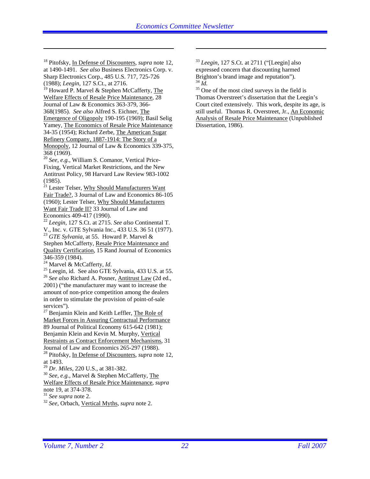18 Pitofsky, In Defense of Discounters, *supra* note 12, at 1490-1491. *See also* Business Electronics Corp. v. Sharp Electronics Corp., 485 U.S. 717, 725-726 (1988); *Leegin*, 127 S.Ct., at 2716.

 $\overline{a}$ 

<sup>19</sup> Howard P. Marvel & Stephen McCafferty, The Welfare Effects of Resale Price Maintenance, 28 Journal of Law & Economics 363-379, 366- 368(1985). *See also* Alfred S. Eichner, The Emergence of Oligopoly 190-195 (1969); Basil Selig Yamey, The Economics of Resale Price Maintenance 34-35 (1954); Richard Zerbe, The American Sugar Refinery Company, 1887-1914: The Story of a Monopoly, 12 Journal of Law & Economics 339-375, 368 (1969).

<sup>20</sup> *See*, *e.g.*, William S. Comanor, Vertical Price-Fixing, Vertical Market Restrictions, and the New Antitrust Policy, 98 Harvard Law Review 983-1002 (1985).

 $^{21}$  Lester Telser, Why Should Manufacturers Want Fair Trade?, 3 Journal of Law and Economics 86-105 (1960); Lester Telser, Why Should Manufacturers Want Fair Trade II? 33 Journal of Law and Economics 409-417 (1990).

<sup>22</sup> *Leegin*, 127 S.Ct. at 2715. *See also* Continental T. V., Inc. v. GTE Sylvania Inc., 433 U.S. 36 51 (1977). <sup>23</sup> *GTE Sylvania*, at 55. Howard P. Marvel & Stephen McCafferty, Resale Price Maintenance and Quality Certification, 15 Rand Journal of Economics

346-359 (1984).<br><sup>24</sup> Marvel & McCafferty, *Id*.

<sup>25</sup> Leegin, id. See also GTE Sylvania, 433 U.S. at 55. <sup>26</sup> *See also* Richard A. Posner, <u>Antitrust Law</u> (2d ed.,

2001) ("the manufacturer may want to increase the amount of non-price competition among the dealers in order to stimulate the provision of point-of-sale services").

 $27$  Benjamin Klein and Keith Leffler, The Role of Market Forces in Assuring Contractual Performance 89 Journal of Political Economy 615-642 (1981); Benjamin Klein and Kevin M. Murphy, Vertical Restraints as Contract Enforcement Mechanisms, 31 Journal of Law and Economics 265-297 (1988).

28 Pitofsky, In Defense of Discounters, *supra* note 12, at 1493.<br> $^{29}$  *Dr. Miles*, 220 U.S., at 381-382.

<sup>30</sup> *See, e.g., Marvel & Stephen McCafferty, The* Welfare Effects of Resale Price Maintenance, *supra* 

note 19, at 374-378.<br><sup>31</sup> See supra note 2.

<sup>31</sup> *See supra* note 2. 32 *See*, Orbach, Vertical Myths, *supra* note 2.

<sup>33</sup> *Leegin*, 127 S.Ct. at 2711 ("[Leegin] also expressed concern that discounting harmed Brighton's brand image and reputation").<br> $^{34}$  *Id.* 

<sup>35</sup> One of the most cited surveys in the field is Thomas Overstreet's dissertation that the Leegin's Court cited extensively. This work, despite its age, is still useful. Thomas R. Overstreet, Jr., An Economic Analysis of Resale Price Maintenance (Unpublished Dissertation, 1986).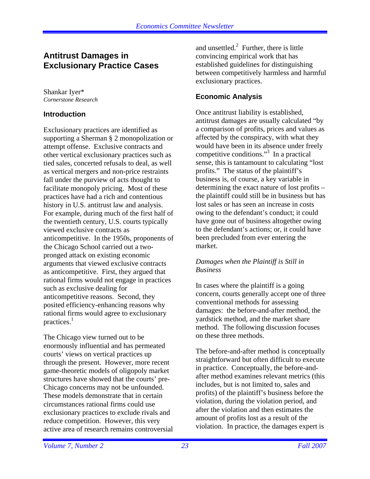## **Antitrust Damages in Exclusionary Practice Cases**

Shankar Iyer\* *Cornerstone Research* 

#### **Introduction**

Exclusionary practices are identified as supporting a Sherman § 2 monopolization or attempt offense. Exclusive contracts and other vertical exclusionary practices such as tied sales, concerted refusals to deal, as well as vertical mergers and non-price restraints fall under the purview of acts thought to facilitate monopoly pricing. Most of these practices have had a rich and contentious history in U.S. antitrust law and analysis. For example, during much of the first half of the twentieth century, U.S. courts typically viewed exclusive contracts as anticompetitive. In the 1950s, proponents of the Chicago School carried out a twopronged attack on existing economic arguments that viewed exclusive contracts as anticompetitive. First, they argued that rational firms would not engage in practices such as exclusive dealing for anticompetitive reasons. Second, they posited efficiency-enhancing reasons why rational firms would agree to exclusionary practices.<sup>1</sup>

The Chicago view turned out to be enormously influential and has permeated courts' views on vertical practices up through the present. However, more recent game-theoretic models of oligopoly market structures have showed that the courts' pre-Chicago concerns may not be unfounded. These models demonstrate that in certain circumstances rational firms could use exclusionary practices to exclude rivals and reduce competition. However, this very active area of research remains controversial and unsettled. $2$  Further, there is little convincing empirical work that has established guidelines for distinguishing between competitively harmless and harmful exclusionary practices.

#### **Economic Analysis**

Once antitrust liability is established, antitrust damages are usually calculated "by a comparison of profits, prices and values as affected by the conspiracy, with what they would have been in its absence under freely competitive conditions."3 In a practical sense, this is tantamount to calculating "lost profits." The status of the plaintiff's business is, of course, a key variable in determining the exact nature of lost profits – the plaintiff could still be in business but has lost sales or has seen an increase in costs owing to the defendant's conduct; it could have gone out of business altogether owing to the defendant's actions; or, it could have been precluded from ever entering the market.

#### *Damages when the Plaintiff is Still in Business*

In cases where the plaintiff is a going concern, courts generally accept one of three conventional methods for assessing damages: the before-and-after method, the yardstick method, and the market share method. The following discussion focuses on these three methods.

The before-and-after method is conceptually straightforward but often difficult to execute in practice. Conceptually, the before-andafter method examines relevant metrics (this includes, but is not limited to, sales and profits) of the plaintiff's business before the violation, during the violation period, and after the violation and then estimates the amount of profits lost as a result of the violation. In practice, the damages expert is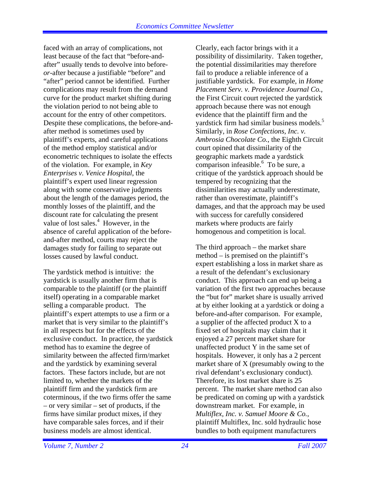faced with an array of complications, not least because of the fact that "before-andafter" usually tends to devolve into before*or*-after because a justifiable "before" and "after" period cannot be identified. Further complications may result from the demand curve for the product market shifting during the violation period to not being able to account for the entry of other competitors. Despite these complications, the before-andafter method is sometimes used by plaintiff's experts, and careful applications of the method employ statistical and/or econometric techniques to isolate the effects of the violation. For example, in *Key Enterprises v. Venice Hospital*, the plaintiff's expert used linear regression along with some conservative judgments about the length of the damages period, the monthly losses of the plaintiff, and the discount rate for calculating the present value of lost sales.<sup>4</sup> However, in the absence of careful application of the beforeand-after method, courts may reject the damages study for failing to separate out losses caused by lawful conduct.

The yardstick method is intuitive: the yardstick is usually another firm that is comparable to the plaintiff (or the plaintiff itself) operating in a comparable market selling a comparable product. The plaintiff's expert attempts to use a firm or a market that is very similar to the plaintiff's in all respects but for the effects of the exclusive conduct. In practice, the yardstick method has to examine the degree of similarity between the affected firm/market and the yardstick by examining several factors. These factors include, but are not limited to, whether the markets of the plaintiff firm and the yardstick firm are coterminous, if the two firms offer the same – or very similar – set of products, if the firms have similar product mixes, if they have comparable sales forces, and if their business models are almost identical.

Clearly, each factor brings with it a possibility of dissimilarity. Taken together, the potential dissimilarities may therefore fail to produce a reliable inference of a justifiable yardstick. For example, in *Home Placement Serv. v. Providence Journal Co.*, the First Circuit court rejected the yardstick approach because there was not enough evidence that the plaintiff firm and the yardstick firm had similar business models.<sup>5</sup> Similarly, in *Rose Confections, Inc. v. Ambrosia Chocolate Co.*, the Eighth Circuit court opined that dissimilarity of the geographic markets made a yardstick  $\overline{\text{comparison}}$  infeasible.<sup>6</sup> To be sure, a critique of the yardstick approach should be tempered by recognizing that the dissimilarities may actually underestimate, rather than overestimate, plaintiff's damages, and that the approach may be used with success for carefully considered markets where products are fairly homogenous and competition is local.

The third approach – the market share method – is premised on the plaintiff's expert establishing a loss in market share as a result of the defendant's exclusionary conduct. This approach can end up being a variation of the first two approaches because the "but for" market share is usually arrived at by either looking at a yardstick or doing a before-and-after comparison. For example, a supplier of the affected product X to a fixed set of hospitals may claim that it enjoyed a 27 percent market share for unaffected product Y in the same set of hospitals. However, it only has a 2 percent market share of X (presumably owing to the rival defendant's exclusionary conduct). Therefore, its lost market share is 25 percent. The market share method can also be predicated on coming up with a yardstick downstream market. For example, in *Multiflex, Inc. v. Samuel Moore & Co.*, plaintiff Multiflex, Inc. sold hydraulic hose bundles to both equipment manufacturers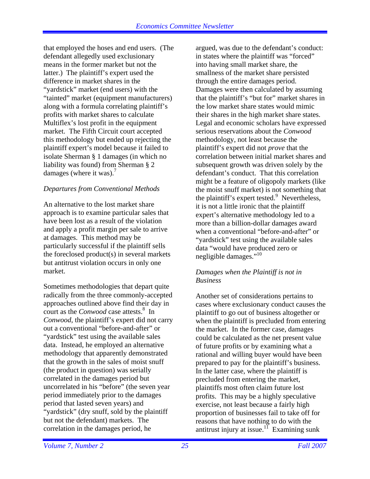that employed the hoses and end users. (The defendant allegedly used exclusionary means in the former market but not the latter.) The plaintiff's expert used the difference in market shares in the "yardstick" market (end users) with the "tainted" market (equipment manufacturers) along with a formula correlating plaintiff's profits with market shares to calculate Multiflex's lost profit in the equipment market. The Fifth Circuit court accepted this methodology but ended up rejecting the plaintiff expert's model because it failed to isolate Sherman § 1 damages (in which no liability was found) from Sherman § 2 damages (where it was).<sup>7</sup>

#### *Departures from Conventional Methods*

An alternative to the lost market share approach is to examine particular sales that have been lost as a result of the violation and apply a profit margin per sale to arrive at damages. This method may be particularly successful if the plaintiff sells the foreclosed product(s) in several markets but antitrust violation occurs in only one market.

Sometimes methodologies that depart quite radically from the three commonly-accepted approaches outlined above find their day in court as the *Conwood* case attests.<sup>8</sup> In *Conwood*, the plaintiff's expert did not carry out a conventional "before-and-after" or "yardstick" test using the available sales data. Instead, he employed an alternative methodology that apparently demonstrated that the growth in the sales of moist snuff (the product in question) was serially correlated in the damages period but uncorrelated in his "before" (the seven year period immediately prior to the damages period that lasted seven years) and "yardstick" (dry snuff, sold by the plaintiff but not the defendant) markets. The correlation in the damages period, he

argued, was due to the defendant's conduct: in states where the plaintiff was "forced" into having small market share, the smallness of the market share persisted through the entire damages period. Damages were then calculated by assuming that the plaintiff's "but for" market shares in the low market share states would mimic their shares in the high market share states. Legal and economic scholars have expressed serious reservations about the *Conwood*  methodology, not least because the plaintiff's expert did not *prove* that the correlation between initial market shares and subsequent growth was driven solely by the defendant's conduct. That this correlation might be a feature of oligopoly markets (like the moist snuff market) is not something that the plaintiff's expert tested.<sup>9</sup> Nevertheless, it is not a little ironic that the plaintiff expert's alternative methodology led to a more than a billion-dollar damages award when a conventional "before-and-after" or "yardstick" test using the available sales data "would have produced zero or negligible damages."<sup>10</sup>

#### *Damages when the Plaintiff is not in Business*

Another set of considerations pertains to cases where exclusionary conduct causes the plaintiff to go out of business altogether or when the plaintiff is precluded from entering the market. In the former case, damages could be calculated as the net present value of future profits or by examining what a rational and willing buyer would have been prepared to pay for the plaintiff's business. In the latter case, where the plaintiff is precluded from entering the market, plaintiffs most often claim future lost profits. This may be a highly speculative exercise, not least because a fairly high proportion of businesses fail to take off for reasons that have nothing to do with the antitrust injury at issue.<sup>11</sup> Examining sunk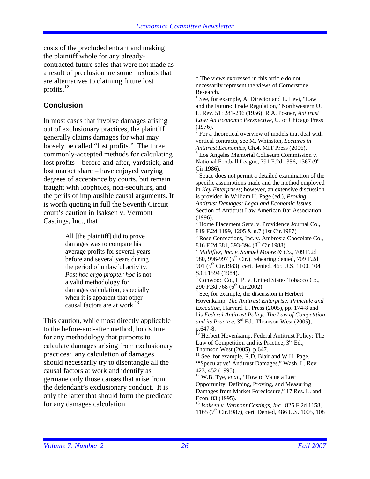costs of the precluded entrant and making the plaintiff whole for any alreadycontracted future sales that were not made as a result of preclusion are some methods that are alternatives to claiming future lost profits. $^{12}$ 

## **Conclusion**

In most cases that involve damages arising out of exclusionary practices, the plaintiff generally claims damages for what may loosely be called "lost profits." The three commonly-accepted methods for calculating lost profits – before-and-after, yardstick, and lost market share – have enjoyed varying degrees of acceptance by courts, but remain fraught with loopholes, non-sequiturs, and the perils of implausible causal arguments. It is worth quoting in full the Seventh Circuit court's caution in Isaksen v. Vermont Castings, Inc., that

> All [the plaintiff] did to prove damages was to compare his average profits for several years before and several years during the period of unlawful activity. *Post hoc ergo propter hoc* is not a valid methodology for damages calculation, especially when it is apparent that other causal factors are at work.<sup>13</sup>

This caution, while most directly applicable to the before-and-after method, holds true for any methodology that purports to calculate damages arising from exclusionary practices: any calculation of damages should necessarily try to disentangle all the causal factors at work and identify as germane only those causes that arise from the defendant's exclusionary conduct. It is only the latter that should form the predicate for any damages calculation.

\* The views expressed in this article do not necessarily represent the views of Cornerstone Research.

<sup>1</sup> See, for example, A. Director and E. Levi, "Law and the Future: Trade Regulation," Northwestern U. L. Rev. 51: 281-296 (1956); R.A. Posner, *Antitrust Law: An Economic Perspective*, U. of Chicago Press (1976).

 $2^{2}$  For a theoretical overview of models that deal with vertical contracts, see M. Whinston, *Lectures in Antitrust Economics*, Ch.4, MIT Press (2006). 3

 $3$  Los Angeles Memorial Coliseum Commission v. National Football League, 791 F.2d 1356, 1367 (9<sup>th</sup> Cir.1986).

4 Space does not permit a detailed examination of the specific assumptions made and the method employed in *Key Enterprises*; however, an extensive discussion is provided in William H. Page (ed.), *Proving Antitrust Damages: Legal and Economic Issues*, Section of Antitrust Law American Bar Association, (1996).

5 Home Placement Serv. v. Providence Journal Co., 819 F.2d 1199, 1205 & n.7 (1st Cir.1987)

6 Rose Confections, Inc. v. Ambrosia Chocolate Co.,

816 F.2d 381, 393-394 (8th Cir.1988). 7 *Multiflex, Inc. v. Samuel Moore & Co.*, 709 F.2d 980, 996-997 (5<sup>th</sup> Cir.), rehearing denied, 709 F.2d 901 (5<sup>th</sup> Cir.1983), cert. denied, 465 U.S. 1100, 104 S.Ct.1594 (1984).

8 Conwood Co., L.P. v. United States Tobacco Co., 290 F.3d 768 (6<sup>th</sup> Cir.2002).

 $9^9$  See, for example, the discussion in Herbert Hovenkamp, *The Antitrust Enterprise: Principle and Execution*, Harvard U. Press (2005), pp. 174-8 and his *Federal Antitrust Policy: The Law of Competition and its Practice*, 3rd Ed., Thomson West (2005), p.647-8.

<sup>10</sup> Herbert Hovenkamp, Federal Antitrust Policy: The Law of Competition and its Practice,  $3<sup>rd</sup>$  Ed., Thomson West (2005), p.647.

<sup>11</sup> See, for example, R.D. Blair and W.H. Page, '"Speculative' Antitrust Damages," Wash. L. Rev. 423, 452 (1995).

<sup>12</sup> W.B. Tye, *et al.*, "How to Value a Lost Opportunity: Defining, Proving, and Measuring Damages from Market Foreclosure," 17 Res. L. and Econ. 83 (1995).

<sup>13</sup> *Isaksen v. Vermont Castings, Inc.*, 825 F.2d 1158, 1165 (7<sup>th</sup> Cir.1987), cert. Denied, 486 U.S. 1005, 108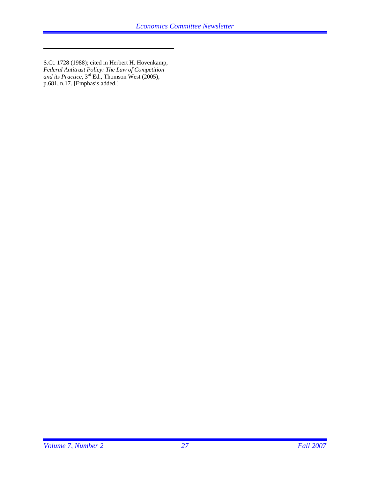S.Ct. 1728 (1988); cited in Herbert H. Hovenkamp, *Federal Antitrust Policy: The Law of Competition and its Practice*, 3rd Ed., Thomson West (2005), p.681, n.17. [Emphasis added.]

 $\overline{a}$